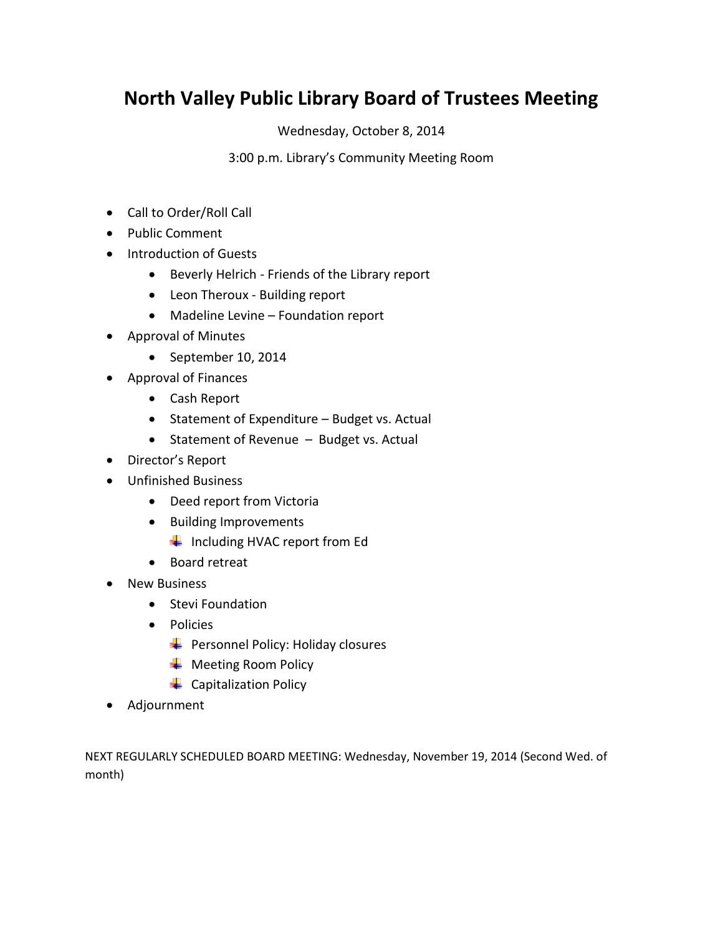### **North Valley Public Library Board of Trustees Meeting**

Wednesday, October 8, 2014

3:00 p.m. Library's Community Meeting Room

- Call to Order/Roll Call
- Public Comment
- Introduction of Guests
	- Beverly Helrich Friends of the Library report
	- Leon Theroux Building report
	- Madeline Levine Foundation report
- Approval of Minutes
	- September 10, 2014
- Approval of Finances
	- Cash Report
	- Statement of Expenditure Budget vs. Actual
	- Statement of Revenue Budget vs. Actual
- Director's Report
- Unfinished Business
	- Deed report from Victoria
	- Building Improvements
		- $\ddot{\phantom{1}}$  Including HVAC report from Ed
	- Board retreat
- New Business
	- Stevi Foundation
	- Policies
		- $\bigstar$  Personnel Policy: Holiday closures
		- ← Meeting Room Policy
		- $\leftarrow$  Capitalization Policy
- Adjournment

NEXT REGULARLY SCHEDULED BOARD MEETING: Wednesday, November 19, 2014 (Second Wed. of month)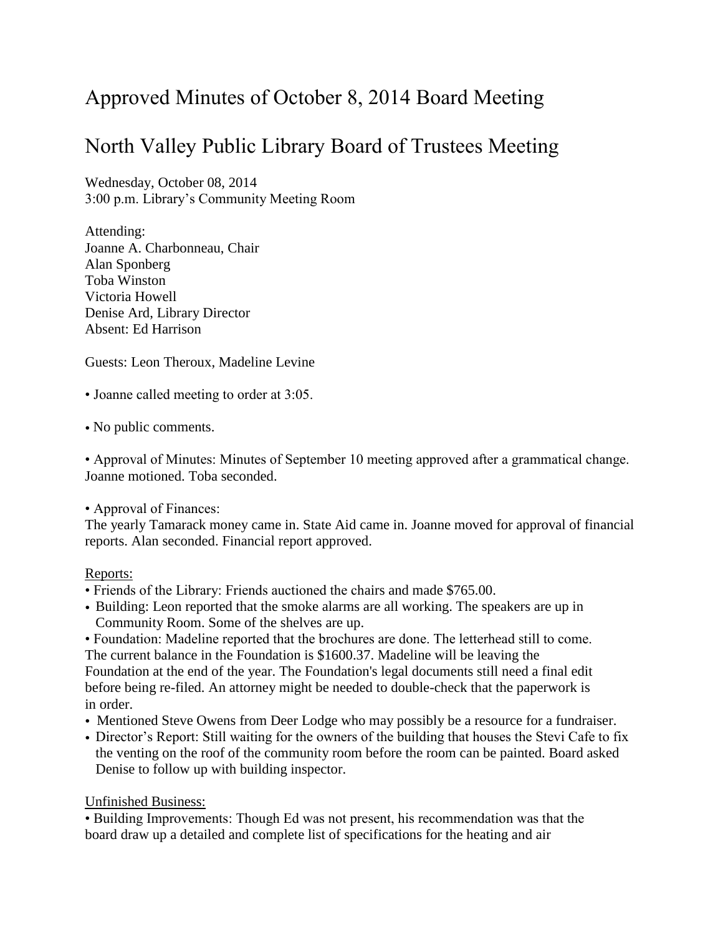# Approved Minutes of October 8, 2014 Board Meeting

## North Valley Public Library Board of Trustees Meeting

Wednesday, October 08, 2014 3:00 p.m. Library's Community Meeting Room

Attending: Joanne A. Charbonneau, Chair Alan Sponberg Toba Winston Victoria Howell Denise Ard, Library Director Absent: Ed Harrison

Guests: Leon Theroux, Madeline Levine

• Joanne called meeting to order at 3:05.

• No public comments.

• Approval of Minutes: Minutes of September 10 meeting approved after a grammatical change. Joanne motioned. Toba seconded.

#### • Approval of Finances:

The yearly Tamarack money came in. State Aid came in. Joanne moved for approval of financial reports. Alan seconded. Financial report approved.

#### Reports:

- Friends of the Library: Friends auctioned the chairs and made \$765.00.
- Building: Leon reported that the smoke alarms are all working. The speakers are up in Community Room. Some of the shelves are up.

• Foundation: Madeline reported that the brochures are done. The letterhead still to come. The current balance in the Foundation is \$1600.37. Madeline will be leaving the Foundation at the end of the year. The Foundation's legal documents still need a final edit before being re-filed. An attorney might be needed to double-check that the paperwork is in order.

- Mentioned Steve Owens from Deer Lodge who may possibly be a resource for a fundraiser.
- Director's Report: Still waiting for the owners of the building that houses the Stevi Cafe to fix the venting on the roof of the community room before the room can be painted. Board asked Denise to follow up with building inspector.

#### Unfinished Business:

• Building Improvements: Though Ed was not present, his recommendation was that the board draw up a detailed and complete list of specifications for the heating and air